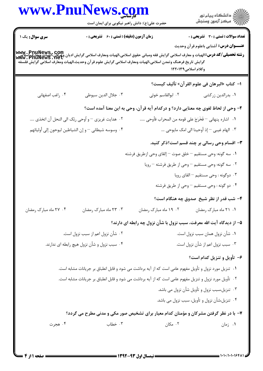|                                  | حضرت علی(ع): دانش راهبر نیکویی برای ایمان است       |                                                                                                                                                                                                                                                                                                                               | ڪ دانشڪاه پيام نور<br>/7 مرڪز آزمون وسنڊش              |  |
|----------------------------------|-----------------------------------------------------|-------------------------------------------------------------------------------------------------------------------------------------------------------------------------------------------------------------------------------------------------------------------------------------------------------------------------------|--------------------------------------------------------|--|
| سری سوال: یک ۱                   | زمان آزمون (دقیقه) : تستی : 60 ٪ تشریحی : 0         |                                                                                                                                                                                                                                                                                                                               | <b>تعداد سوالات : تستی : 30 ٪ تشریحی : 0</b>           |  |
|                                  |                                                     | <b>www . PnuNews , com</b><br><b>رشته تحصیلی/کد درس:</b> الهیات و معارف اسلامی گرایش فقه ومبانی حقوق اسلامی،الهیات ومعارف اسلامی گرایش ادیان وعرفان،الهیات ویعارف<br>Www . PnuNewS . Net<br>گرايش تاريخ فرهنگ وتمدن اسلامى،الهيات ومعارف اسلامى گرايش علوم قرآن وحديث،الهيات ومعارف اسلامى گرايش فلسفه<br>وكلام اسلامى١٢٢٠١٣٩ | <b>عنـــوان درس:</b> آشنایی باعلوم قرآن وحدیث          |  |
|                                  |                                                     |                                                                                                                                                                                                                                                                                                                               | ا–  كتاب «البرهان في علوم القر آن» تأليف كيست؟         |  |
| ۰۴ راغب اصفهانی                  | ٠٣ جلال الدين سيوطى                                 | ۰۲ ابوالقاسم خوئی                                                                                                                                                                                                                                                                                                             | ۰۱ بدرالدین زرکشی                                      |  |
|                                  |                                                     | ۲- وحی از لحاظ لغوی چه معنایی دارد؟ و درکدام آیه قرآن، وحی به این معنا آمده است؟                                                                                                                                                                                                                                              |                                                        |  |
|                                  | ۰۲ هدایت غریزی — و اُوحی ربّک الی النحل أن اتخذی …  | ٠١. اشاره پنهاني – فَخَرَجَ على قومه من المحراب فأوحى                                                                                                                                                                                                                                                                         |                                                        |  |
|                                  | ۰۴ وسوسه شيطاني – و إن الشياطين ليوحون إلى أوليائهم |                                                                                                                                                                                                                                                                                                                               | ۰۳ الهام غيبي <sup>—</sup> إذ أوحينا الى امک مايوحي …. |  |
|                                  |                                                     |                                                                                                                                                                                                                                                                                                                               | <b>۳</b> – اقسام وحی رسالی بر چند قسم است؟ذکر کنید.    |  |
|                                  |                                                     | <b>۱</b> . سه گونه: وحی مستقیم <sup>—</sup> خلق صوت <sup>—</sup> إلقای وحی ازطریق فرشته                                                                                                                                                                                                                                       |                                                        |  |
|                                  |                                                     |                                                                                                                                                                                                                                                                                                                               | ۰۲ سه گونه: وحی مستقیم – وحی از طریق فرشته – رویا      |  |
|                                  |                                                     |                                                                                                                                                                                                                                                                                                                               | ۰۳ دوگونه : وحی مستقیم – القای رویا                    |  |
|                                  |                                                     |                                                                                                                                                                                                                                                                                                                               | ۰۴ دو گونه : وحی مستقیم <sup>—</sup> وحی از طریق فرشته |  |
|                                  |                                                     |                                                                                                                                                                                                                                                                                                                               | ۴– شب قدر از نظر شیخ ًصدوق چه هنگام است؟               |  |
| ۰۴ ۲۷ ماه مبارک رمضان            | ۰۳ ۲۳ ماه مبارک رمضان                               | ۰۲ ۱۹ ماه مبارک رمضان                                                                                                                                                                                                                                                                                                         | ٠١. ٢١ ماه مبارک رمضان                                 |  |
|                                  |                                                     | ۵- از دیدگاه آیت الله معرفت، سبب نزول با شأن نزول چه رابطه ای دارند؟                                                                                                                                                                                                                                                          |                                                        |  |
| ۰۲ شأن نزول اعم از سبب نزول است. |                                                     |                                                                                                                                                                                                                                                                                                                               | ٠١ شأن نزول همان سبب نزول است.                         |  |
|                                  | ۰۴ سبب نزول و شأن نزول هیچ رابطه ای ندارند.         |                                                                                                                                                                                                                                                                                                                               | ۰۳ سبب نزول اعم از شأن نزول است.                       |  |
|                                  |                                                     |                                                                                                                                                                                                                                                                                                                               | ۶- تأویل و تنزیل کدام است؟                             |  |
|                                  |                                                     | ۰۱ تنزیل مورد نزول و تأویل مفهوم عامی است که از آیه برداشت می شود و قابل انطباق بر جریانات مشابه است.                                                                                                                                                                                                                         |                                                        |  |
|                                  |                                                     | ۰۲ تأویل مورد نزول و تنزیل مفهوم عامی است که از آیه برداشت می شود و قابل انطباق بر جریانات مشابه است.                                                                                                                                                                                                                         |                                                        |  |
|                                  |                                                     |                                                                                                                                                                                                                                                                                                                               | ۰۳ تنزیل،سبب نزول و تأویل شأن نزول می باشد.            |  |
|                                  |                                                     |                                                                                                                                                                                                                                                                                                                               | ۰۴ تنزیل،شأن نزول و تأویل، سبب نزول می باشد.           |  |
|                                  |                                                     | ۷- با در نظر گرفتن مشرکان و مؤمنان کدام معیار برای تشخیص صور مکی و مدنی مطرح می گردد؟                                                                                                                                                                                                                                         |                                                        |  |
| ۰۴ هجرت                          | ۰۳ خطاب                                             | ۰۲ مکان                                                                                                                                                                                                                                                                                                                       | ۰۱ زمان                                                |  |

1.1./1.1.1648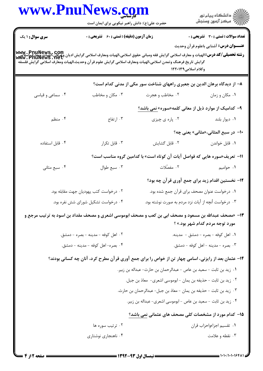|                        | حضرت علی(ع): دانش راهبر نیکویی برای ایمان است      |                                                                                                                                                                      | ِ دانشڪاه پيام نور<br>/√ مرڪز آزمون وسنڊش                                                     |
|------------------------|----------------------------------------------------|----------------------------------------------------------------------------------------------------------------------------------------------------------------------|-----------------------------------------------------------------------------------------------|
| <b>سری سوال : ۱ یک</b> | <b>زمان آزمون (دقیقه) : تستی : 60 ٪ تشریحی : 0</b> | www. PnuNews, com<br>  <b>وشته تحصیلی/کد درس:</b> الهیات و معارف اسلامی گرایش فقه ومبانی حقوق اسلامی،الهیات ومعارف اسلامی گرایش ان وی این این<br> www. PnuNews . net | <b>تعداد سوالات : تستی : 30 ٪ تشریحی : 0</b><br><b>عنـــوان درس:</b> آشنایی باعلوم قرآن وحدیث |
|                        |                                                    | گرايش تاريخ فرهنگ وتمدن اسلامي،الهيات ومعارف اسلامي گرايش علوم قر آن وحديث،الهيات ومعارف اسلامي گرايش فلسفه<br>وكلام اسلامى١٢٢٠١٣٩                                   |                                                                                               |
|                        |                                                    | ۸– از دیدگاه برهان الدین بن جعبری راههای شناخت سور مکی از مدنی کدام است؟                                                                                             |                                                                                               |
| ۰۴ سماعی و قیاسی       | ۰۳ مکان و مخاطب                                    | ۰۲ مخاطب و هجرت                                                                                                                                                      | ۰۱ مکان و زمان                                                                                |
|                        |                                                    | ۹– کدامیک از موارد ذیل از معانی کلمه«سوره» نمی باشد؟                                                                                                                 |                                                                                               |
| ۰۴ منظم                | ۰۳ ارتفاع                                          | ۰۲ پاره ی چیزی                                                                                                                                                       | ٠١ ديوار بلند                                                                                 |
|                        |                                                    |                                                                                                                                                                      | ۰۱- در سبع المثانی،«مثانی» یعنی چه؟                                                           |
| ۰۴ قابل استفاده        | ٠٣ قابل تكرار                                      | ٠٢ قابل گشايش                                                                                                                                                        | ٠١ قابل خواندن                                                                                |
|                        |                                                    | 11- تعریف«سوره هایی که فواصل آیات آن کوتاه است» با کدامین گروه مناسب است؟                                                                                            |                                                                                               |
| ۰۴ سبع مثاني           | ۰۳ سبع طوال                                        | ۰۲ مفصّلات                                                                                                                                                           | ۰۱ حوامیم                                                                                     |
|                        |                                                    | ۱۲- نخستین اقدام زید برای جمع آوری قرآن چه بود؟                                                                                                                      |                                                                                               |
|                        | ۰۲ درخواست کتب یهودیان جهت مقابله بود.             | ٠١ درخواست عنوان مصحف براى قرآن جمع شده بود.                                                                                                                         |                                                                                               |
|                        | ۰۴ درخواست تشکیل شورای شش نفره بود.                | ۰۳ درخواست أنچه از أيات نزد مردم به صورت نوشته بود.                                                                                                                  |                                                                                               |
|                        |                                                    | 13- «مصحف عبدالله بن مسعود و مصحف ابی بن کعب و مصحف ابوموسی اشعری و مصحف مقداد بن اسود به ترتیب مرجع و                                                               | مورد توجه مردم کدام شهر بود.» ؟                                                               |
|                        | ۰۲ اهل کوفه - مدينه - بصره - دمشق.                 |                                                                                                                                                                      | ۰۱ اهل کوفه - بصره - دمشق - مدينه.                                                            |
|                        | ۰۴ بصره-اهل کوفه - مدینه - دمشق.                   |                                                                                                                                                                      | ۰۳ بصره - مدينه - اهل كوفه - دمشق.                                                            |
|                        |                                                    | ۱۴- عثمان بعد از رایزنی، اسامی چهار تن از خواص را برای جمع آوری قرآن مطرح کرد، آنان چه کسانی بودند؟                                                                  |                                                                                               |
|                        |                                                    | ٠١ زيد بن ثابت - سعيد بن عاص - عبدالرحمان بن حارث- عبداله بن زبير.                                                                                                   |                                                                                               |
|                        |                                                    | ٢. زيد بن ثابت - حذيفه بن يمان - ابوموسى اشعرى-  معاذ بن جبل.                                                                                                        |                                                                                               |
|                        |                                                    | ٠٣ زيد بن ثابت - حذيفه بن يمان - معاذ بن جبل- عبدالرحمان بن حارث.                                                                                                    |                                                                                               |
|                        |                                                    | ۰۴ زید بن ثابت - سعید بن عاص - ابوموسی اشعری- عبداله بن زبیر.                                                                                                        |                                                                                               |
|                        |                                                    | 1۵– کدام مورد از مشخصات کلی مصحف های عثمانی نمی باشد؟                                                                                                                |                                                                                               |
|                        | ۰۲ ترتیب سوره ها                                   |                                                                                                                                                                      | ٠١ تقسيم اجزاءواحزاب قران                                                                     |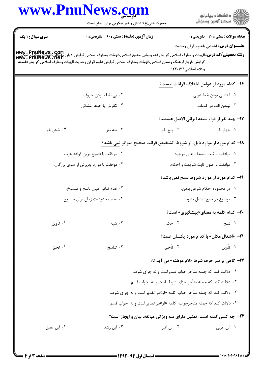|                | www.PnuNews.com                                                                                                                                                                                                                                                                                    |                                                                             | ِ<br>∭ دانشڪاه پيام نور<br>∭ مرڪز آزمون وسنڊش    |  |
|----------------|----------------------------------------------------------------------------------------------------------------------------------------------------------------------------------------------------------------------------------------------------------------------------------------------------|-----------------------------------------------------------------------------|--------------------------------------------------|--|
|                | حضرت علی(ع): دانش راهبر نیکویی برای ایمان است                                                                                                                                                                                                                                                      |                                                                             |                                                  |  |
| سری سوال: ۱ یک | <b>زمان آزمون (دقیقه) : تستی : 60 ٪ تشریحی : 0</b>                                                                                                                                                                                                                                                 |                                                                             | <b>تعداد سوالات : تستی : 30 ٪ تشریحی : 0</b>     |  |
|                |                                                                                                                                                                                                                                                                                                    |                                                                             | <b>عنـــوان درس:</b> آشنایی باعلوم قرآن وحدیث    |  |
|                | www . PnuNews , com<br> و <b>شته تحصیلی/کد درس:</b> الهیات و معارف اسلامی گرایش فقه ومبانی حقوق اسلامی،الهیات ومعارف اسلامی گرایش ادیان وعوادی،الهیات ومعارف<br> www . PnuNews . net<br>گرايش تاريخ فرهنگ وتمدن اسلامي،الهيات ومعارف اسلامي گرايش علوم قرآن وحديث،الهيات ومعارف اسلامي گرايش فلسفه |                                                                             |                                                  |  |
|                |                                                                                                                                                                                                                                                                                                    | وكلام اسلامى١٢٢٠١٣٩                                                         |                                                  |  |
|                |                                                                                                                                                                                                                                                                                                    |                                                                             | ۱۶– کدام مورد از عوامل اختلاف قرائات نیست؟       |  |
|                | ۰۲ بي نقطه بودن حروف                                                                                                                                                                                                                                                                               |                                                                             | ۰۱ ابتدایی بودن خط عربی                          |  |
|                | ۰۴ نگارش با جوهر مشکی                                                                                                                                                                                                                                                                              |                                                                             | ۰۳ نبودن الف در کلمات                            |  |
|                |                                                                                                                                                                                                                                                                                                    |                                                                             | ۱۷– چند نفر از قراء سبعه ایرانی الاصل هستند؟     |  |
| ۰۴ شش نفر      | ۰۳ سه نفر                                                                                                                                                                                                                                                                                          | ۰۲ پنج نفر                                                                  | ۰۱ جهار نفر                                      |  |
|                | <b>۱۸</b> – کدام مورد از موارد ذیل، از شروط  تشخیص قرائت صحیح متواتر نمی باشد؟                                                                                                                                                                                                                     |                                                                             |                                                  |  |
|                | ٢. موافقت با فصيح ترين قواعد عرب.                                                                                                                                                                                                                                                                  |                                                                             | ٠١ موافقت با ثبت مصحف هاى موجود.                 |  |
|                | ۰۴ موافقت با موارد پذیرش از سوی بزرگان.                                                                                                                                                                                                                                                            |                                                                             | ۰۳ موافقت با اصول ثابت شريعت و احكام.            |  |
|                |                                                                                                                                                                                                                                                                                                    |                                                                             | ۱۹- کدام مورد از موارد شروط نسخ <u>نمی</u> باشد؟ |  |
|                | ۰۲ عدم تنافی میان ناسخ و منسوخ.                                                                                                                                                                                                                                                                    | ۰۱ در محدوده احکام شرعی بودن.                                               |                                                  |  |
|                | ۰۴ عدم محدودیت زمان برای منسوخ.                                                                                                                                                                                                                                                                    |                                                                             | ۰۳ موضوع در نسخ تبدیل نشود.                      |  |
|                |                                                                                                                                                                                                                                                                                                    |                                                                             | <b>۲۰</b> کدام کلمه به معنای«پیشگیری» است؟       |  |
| ۰۴ تأويل       | ۰۳ شَبه                                                                                                                                                                                                                                                                                            | ۰۲ ځکم                                                                      | ٠١ نسخ                                           |  |
|                |                                                                                                                                                                                                                                                                                                    |                                                                             | <b>٢١</b> - «اشغال مكان» با كدام مورد يكسان است؟ |  |
| ۰۴ تحیّز       | ۰۳ تناسخ                                                                                                                                                                                                                                                                                           | ۰۲ تأخير                                                                    | ۰۱ تأويل                                         |  |
|                |                                                                                                                                                                                                                                                                                                    | <b>۲۲-</b> گاهی بر سر حرف شرط «لام موطئه» می آید تا:                        |                                                  |  |
|                |                                                                                                                                                                                                                                                                                                    | ۰۱ دلالت کند که جمله متأخر جواب قسم است و نه جزای شرط.                      |                                                  |  |
|                |                                                                                                                                                                                                                                                                                                    | ۰۲ دلالت کند که جمله متأخر جزای شرط است و نه جواب قسم.                      |                                                  |  |
|                |                                                                                                                                                                                                                                                                                                    | ۰۳ دلالت کند که جمله متأخر جواب کلمه «لو»در تقدیر است و نه جزای شرط.        |                                                  |  |
|                |                                                                                                                                                                                                                                                                                                    | ۰۴ دلالت کند که جمله متأخرجواب کلمه «لو»در تقدیر است و نه  جواب قسم.        |                                                  |  |
|                |                                                                                                                                                                                                                                                                                                    | <b>۲۳</b> - چه کسی گفته است: تمثیل دارای سه ویژگی مبالغه، بیان و ایجاز است؟ |                                                  |  |
| ۰۴ ابن عقيل    | ۰۳ ابن رشد                                                                                                                                                                                                                                                                                         | ۰۲ ابن اثیر                                                                 | ۰۱ ابن عربي                                      |  |